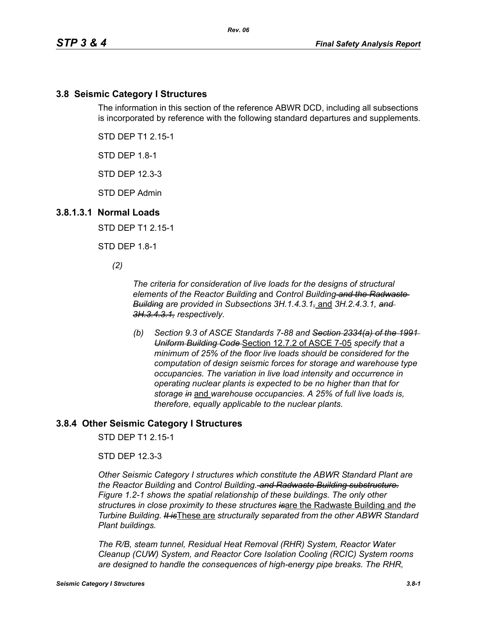### **3.8 Seismic Category I Structures**

The information in this section of the reference ABWR DCD, including all subsections is incorporated by reference with the following standard departures and supplements.

STD DEP T1 2.15-1

STD DEP 1.8-1

STD DEP 12.3-3

STD DEP Admin

#### **3.8.1.3.1 Normal Loads**

STD DEP T1 2.15-1

STD DEP 1.8-1

*(2)*

*The criteria for consideration of live loads for the designs of structural elements of the Reactor Building* and *Control Building and the Radwaste Building are provided in Subsections 3H.1.4.3.1,* and *3H.2.4.3.1, and 3H.3.4.3.1, respectively.*

*(b) Section 9.3 of ASCE Standards 7-88 and Section 2334(a) of the 1991 Uniform Building Code* Section 12.7.2 of ASCE 7-05 *specify that a minimum of 25% of the floor live loads should be considered for the computation of design seismic forces for storage and warehouse type occupancies. The variation in live load intensity and occurrence in operating nuclear plants is expected to be no higher than that for storage in* and *warehouse occupancies. A 25% of full live loads is, therefore, equally applicable to the nuclear plants.*

### **3.8.4 Other Seismic Category I Structures**

STD DEP T1 2.15-1

STD DEP 12.3-3

*Other Seismic Category I structures which constitute the ABWR Standard Plant are the Reactor Building* and *Control Building. and Radwaste Building substructure. Figure 1.2-1 shows the spatial relationship of these buildings. The only other structure*s *in close proximity to these structures is*are the Radwaste Building and *the Turbine Building. It is*These are *structurally separated from the other ABWR Standard Plant buildings.*

*The R/B, steam tunnel, Residual Heat Removal (RHR) System, Reactor Water Cleanup (CUW) System, and Reactor Core Isolation Cooling (RCIC) System rooms are designed to handle the consequences of high-energy pipe breaks. The RHR,*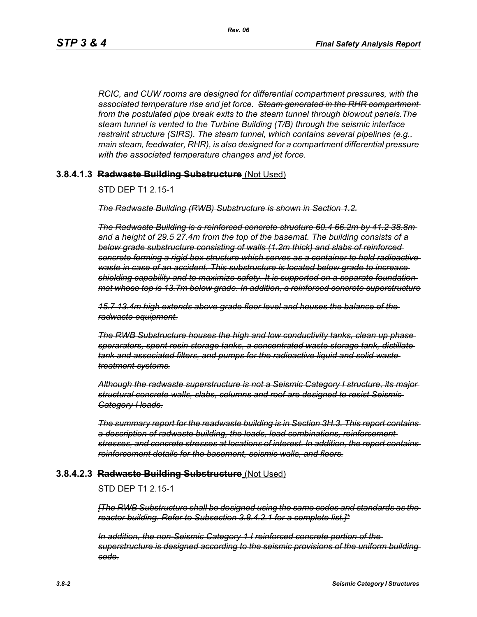*RCIC, and CUW rooms are designed for differential compartment pressures, with the associated temperature rise and jet force. Steam generated in the RHR compartment from the postulated pipe break exits to the steam tunnel through blowout panels.The steam tunnel is vented to the Turbine Building (T/B) through the seismic interface restraint structure (SIRS). The steam tunnel, which contains several pipelines (e.g., main steam, feedwater, RHR), is also designed for a compartment differential pressure with the associated temperature changes and jet force.*

### **3.8.4.1.3 Radwaste Building Substructure** (Not Used)

STD DEP T1 2.15-1

*The Radwaste Building (RWB) Substructure is shown in Section 1.2.*

*The Radwaste Building is a reinforced concrete structure 60.4 66.2m by 41.2 38.8m and a height of 29.5 27.4m from the top of the basemat. The building consists of a below grade substructure consisting of walls (1.2m thick) and slabs of reinforced concrete forming a rigid box structure which serves as a container to hold radioactive waste in case of an accident. This substructure is located below grade to increase shielding capability and to maximize safety. It is supported on a separate foundation mat whose top is 13.7m below grade. In addition, a reinforced concrete superstructure*

*15.7 13.4m high extends above grade floor level and houses the balance of the radwaste equipment.*

*The RWB Substructure houses the high and low conductivity tanks, clean up phase sperarators, spent resin storage tanks, a concentrated waste storage tank, distillate tank and associated filters, and pumps for the radioactive liquid and solid waste treatment systems.*

*Although the radwaste superstructure is not a Seismic Category I structure, its major structural concrete walls, slabs, columns and roof are designed to resist Seismic Category I loads.*

*The summary report for the readwaste building is in Section 3H.3. This report contains a description of radwaste building, the loads, load combinations, reinforcement stresses, and concrete stresses at locations of interest. In addition, the report contains reinforcement details for the basement, seismic walls, and floors.*

#### **3.8.4.2.3 Radwaste Building Substructure** (Not Used)

### STD DEP T1 2.15-1

*[The RWB Substructure shall be designed using the same codes and standards as the reactor building. Refer to Subsection 3.8.4.2.1 for a complete list.]\**

*In addition, the non-Seismic Category 1 I reinforced concrete portion of the superstructure is designed according to the seismic provisions of the uniform building code.*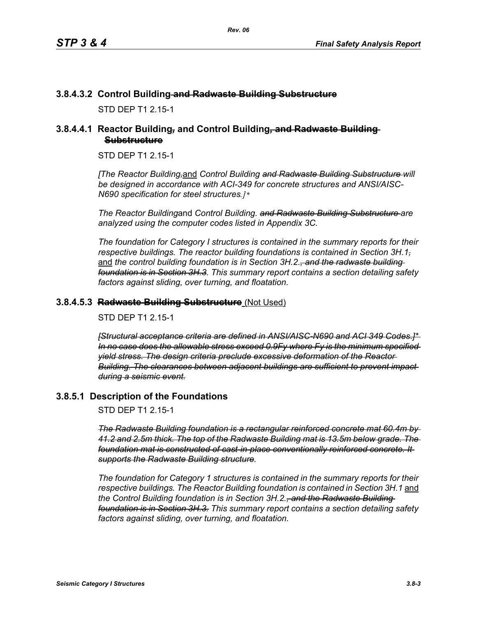## **3.8.4.3.2 Control Building and Radwaste Building Substructure**

STD DEP T1 2 15-1

## **3.8.4.4.1 Reactor Building***,* **and Control Building***,* **and Radwaste Building Substructure**

STD DEP T1 2.15-1

*[The Reactor Building,*and *Control Building and Radwaste Building Substructure will be designed in accordance with ACI-349 for concrete structures and ANSI/AISC-N690 specification for steel structures.]\** 

*The Reactor Building*and *Control Building. and Radwaste Building Substructure are analyzed using the computer codes listed in Appendix 3C.* 

*The foundation for Category I structures is contained in the summary reports for their respective buildings. The reactor building foundations is contained in Section 3H.1,* and the control building foundation is in Section 3H.2.<del>, and the radwaste building</del> *foundation is in Section 3H.3. This summary report contains a section detailing safety factors against sliding, over turning, and floatation.*

### **3.8.4.5.3 Radwaste Building Substructure** (Not Used)

STD DEP T1 2 15-1

*[Structural acceptance criteria are defined in ANSI/AISC-N690 and ACI 349 Codes.]\* In no case does the allowable stress exceed 0.9Fy where Fy is the minimum specified yield stress. The design criteria preclude excessive deformation of the Reactor Building. The clearances between adjacent buildings are sufficient to prevent impact during a seismic event.*

### **3.8.5.1 Description of the Foundations**

STD DEP T1 2.15-1

*The Radwaste Building foundation is a rectangular reinforced concrete mat 60.4m by 41.2 and 2.5m thick. The top of the Radwaste Building mat is 13.5m below grade. The foundation mat is constructed of cast-in-place conventionally reinforced concrete. It supports the Radwaste Building structure.*

*The foundation for Category 1 structures is contained in the summary reports for their respective buildings. The Reactor Building foundation is contained in Section 3H.1* and *the Control Building foundation is in Section 3H.2., and the Radwaste Building foundation is in Section 3H.3. This summary report contains a section detailing safety factors against sliding, over turning, and floatation.*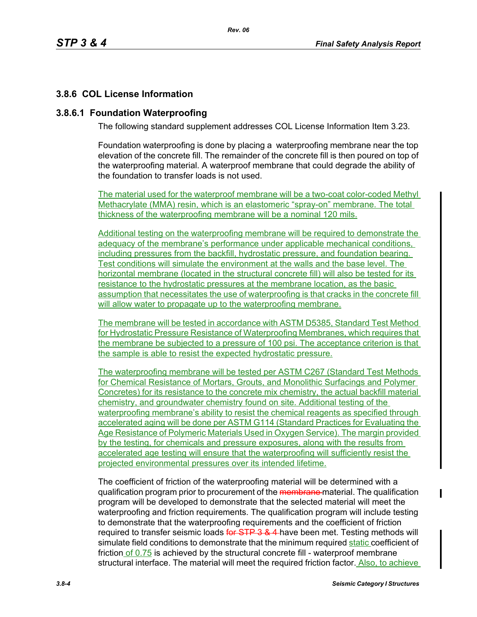# **3.8.6 COL License Information**

## **3.8.6.1 Foundation Waterproofing**

The following standard supplement addresses COL License Information Item 3.23.

Foundation waterproofing is done by placing a waterproofing membrane near the top elevation of the concrete fill. The remainder of the concrete fill is then poured on top of the waterproofing material. A waterproof membrane that could degrade the ability of the foundation to transfer loads is not used.

The material used for the waterproof membrane will be a two-coat color-coded Methyl Methacrylate (MMA) resin, which is an elastomeric "spray-on" membrane. The total thickness of the waterproofing membrane will be a nominal 120 mils.

Additional testing on the waterproofing membrane will be required to demonstrate the adequacy of the membrane's performance under applicable mechanical conditions, including pressures from the backfill, hydrostatic pressure, and foundation bearing. Test conditions will simulate the environment at the walls and the base level. The horizontal membrane (located in the structural concrete fill) will also be tested for its resistance to the hydrostatic pressures at the membrane location, as the basic assumption that necessitates the use of waterproofing is that cracks in the concrete fill will allow water to propagate up to the waterproofing membrane.

The membrane will be tested in accordance with ASTM D5385, Standard Test Method for Hydrostatic Pressure Resistance of Waterproofing Membranes, which requires that the membrane be subjected to a pressure of 100 psi. The acceptance criterion is that the sample is able to resist the expected hydrostatic pressure.

The waterproofing membrane will be tested per ASTM C267 (Standard Test Methods for Chemical Resistance of Mortars, Grouts, and Monolithic Surfacings and Polymer Concretes) for its resistance to the concrete mix chemistry, the actual backfill material chemistry, and groundwater chemistry found on site. Additional testing of the waterproofing membrane's ability to resist the chemical reagents as specified through accelerated aging will be done per ASTM G114 (Standard Practices for Evaluating the Age Resistance of Polymeric Materials Used in Oxygen Service). The margin provided by the testing, for chemicals and pressure exposures, along with the results from accelerated age testing will ensure that the waterproofing will sufficiently resist the projected environmental pressures over its intended lifetime.

The coefficient of friction of the waterproofing material will be determined with a qualification program prior to procurement of the membrane-material. The qualification program will be developed to demonstrate that the selected material will meet the waterproofing and friction requirements. The qualification program will include testing to demonstrate that the waterproofing requirements and the coefficient of friction required to transfer seismic loads for STP 3 & 4-have been met. Testing methods will simulate field conditions to demonstrate that the minimum required static coefficient of friction of 0.75 is achieved by the structural concrete fill - waterproof membrane structural interface. The material will meet the required friction factor. Also, to achieve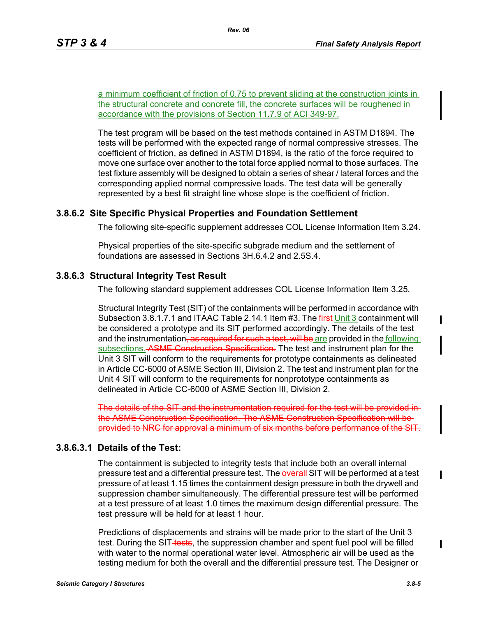a minimum coefficient of friction of 0.75 to prevent sliding at the construction joints in the structural concrete and concrete fill, the concrete surfaces will be roughened in accordance with the provisions of Section 11.7.9 of ACI 349-97.

The test program will be based on the test methods contained in ASTM D1894. The tests will be performed with the expected range of normal compressive stresses. The coefficient of friction, as defined in ASTM D1894, is the ratio of the force required to move one surface over another to the total force applied normal to those surfaces. The test fixture assembly will be designed to obtain a series of shear / lateral forces and the corresponding applied normal compressive loads. The test data will be generally represented by a best fit straight line whose slope is the coefficient of friction.

### **3.8.6.2 Site Specific Physical Properties and Foundation Settlement**

The following site-specific supplement addresses COL License Information Item 3.24.

Physical properties of the site-specific subgrade medium and the settlement of foundations are assessed in Sections 3H.6.4.2 and 2.5S.4.

### **3.8.6.3 Structural Integrity Test Result**

The following standard supplement addresses COL License Information Item 3.25.

Structural Integrity Test (SIT) of the containments will be performed in accordance with Subsection 3.8.1.7.1 and ITAAC Table 2.14.1 Item #3. The first Unit 3 containment will be considered a prototype and its SIT performed accordingly. The details of the test and the instrumentation<del>, as required for such a test, will be are</del> provided in the **following** subsections. ASME Construction Specification. The test and instrument plan for the Unit 3 SIT will conform to the requirements for prototype containments as delineated in Article CC-6000 of ASME Section III, Division 2. The test and instrument plan for the Unit 4 SIT will conform to the requirements for nonprototype containments as delineated in Article CC-6000 of ASME Section III, Division 2.

The details of the SIT and the instrumentation required for the the ASME Construction Specification. The ASME Construction Specification will be provided to NRC for approval a minimum of six months before performance

# **3.8.6.3.1 Details of the Test:**

The containment is subjected to integrity tests that include both an overall internal pressure test and a differential pressure test. The overall SIT will be performed at a test pressure of at least 1.15 times the containment design pressure in both the drywell and suppression chamber simultaneously. The differential pressure test will be performed at a test pressure of at least 1.0 times the maximum design differential pressure. The test pressure will be held for at least 1 hour.

Predictions of displacements and strains will be made prior to the start of the Unit 3 test. During the SIT-tests, the suppression chamber and spent fuel pool will be filled with water to the normal operational water level. Atmospheric air will be used as the testing medium for both the overall and the differential pressure test. The Designer or I

I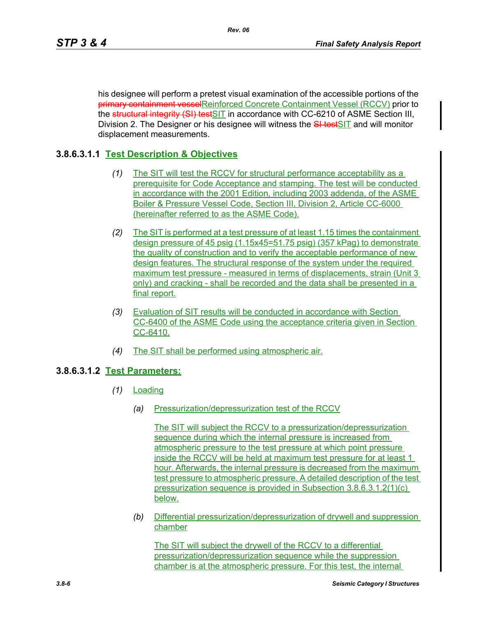his designee will perform a pretest visual examination of the accessible portions of the primary containment vesselReinforced Concrete Containment Vessel (RCCV) prior to the structural integrity (SI) testSIT in accordance with CC-6210 of ASME Section III, Division 2. The Designer or his designee will witness the **SI test**SIT and will monitor displacement measurements.

# **3.8.6.3.1.1 Test Description & Objectives**

- *(1)* The SIT will test the RCCV for structural performance acceptability as a prerequisite for Code Acceptance and stamping. The test will be conducted in accordance with the 2001 Edition, including 2003 addenda, of the ASME Boiler & Pressure Vessel Code, Section III, Division 2, Article CC-6000 (hereinafter referred to as the ASME Code).
- *(2)* The SIT is performed at a test pressure of at least 1.15 times the containment design pressure of 45 psig (1.15x45=51.75 psig) (357 kPag) to demonstrate the quality of construction and to verify the acceptable performance of new design features. The structural response of the system under the required maximum test pressure - measured in terms of displacements, strain (Unit 3 only) and cracking - shall be recorded and the data shall be presented in a final report.
- *(3)* Evaluation of SIT results will be conducted in accordance with Section CC-6400 of the ASME Code using the acceptance criteria given in Section CC-6410.
- *(4)* The SIT shall be performed using atmospheric air.

# **3.8.6.3.1.2 Test Parameters:**

- *(1)* Loading
	- *(a)* Pressurization/depressurization test of the RCCV

The SIT will subject the RCCV to a pressurization/depressurization sequence during which the internal pressure is increased from atmospheric pressure to the test pressure at which point pressure inside the RCCV will be held at maximum test pressure for at least 1 hour. Afterwards, the internal pressure is decreased from the maximum test pressure to atmospheric pressure. A detailed description of the test pressurization sequence is provided in Subsection 3.8.6.3.1.2(1)(c) below.

*(b)* Differential pressurization/depressurization of drywell and suppression chamber

The SIT will subject the drywell of the RCCV to a differential pressurization/depressurization sequence while the suppression chamber is at the atmospheric pressure. For this test, the internal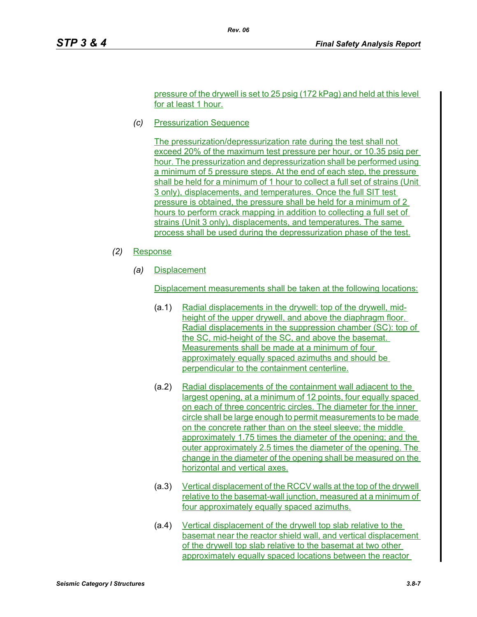pressure of the drywell is set to 25 psig (172 kPag) and held at this level for at least 1 hour.

*(c)* Pressurization Sequence

The pressurization/depressurization rate during the test shall not exceed 20% of the maximum test pressure per hour, or 10.35 psig per hour. The pressurization and depressurization shall be performed using a minimum of 5 pressure steps. At the end of each step, the pressure shall be held for a minimum of 1 hour to collect a full set of strains (Unit 3 only), displacements, and temperatures. Once the full SIT test pressure is obtained, the pressure shall be held for a minimum of 2 hours to perform crack mapping in addition to collecting a full set of strains (Unit 3 only), displacements, and temperatures. The same process shall be used during the depressurization phase of the test.

- *(2)* Response
	- *(a)* Displacement

Displacement measurements shall be taken at the following locations:

- (a.1) Radial displacements in the drywell: top of the drywell, midheight of the upper drywell, and above the diaphragm floor. Radial displacements in the suppression chamber (SC): top of the SC, mid-height of the SC, and above the basemat. Measurements shall be made at a minimum of four approximately equally spaced azimuths and should be perpendicular to the containment centerline.
- (a.2) Radial displacements of the containment wall adjacent to the largest opening, at a minimum of 12 points, four equally spaced on each of three concentric circles. The diameter for the inner circle shall be large enough to permit measurements to be made on the concrete rather than on the steel sleeve; the middle approximately 1.75 times the diameter of the opening; and the outer approximately 2.5 times the diameter of the opening. The change in the diameter of the opening shall be measured on the horizontal and vertical axes.
- (a.3) Vertical displacement of the RCCV walls at the top of the drywell relative to the basemat-wall junction, measured at a minimum of four approximately equally spaced azimuths.
- (a.4) Vertical displacement of the drywell top slab relative to the basemat near the reactor shield wall, and vertical displacement of the drywell top slab relative to the basemat at two other approximately equally spaced locations between the reactor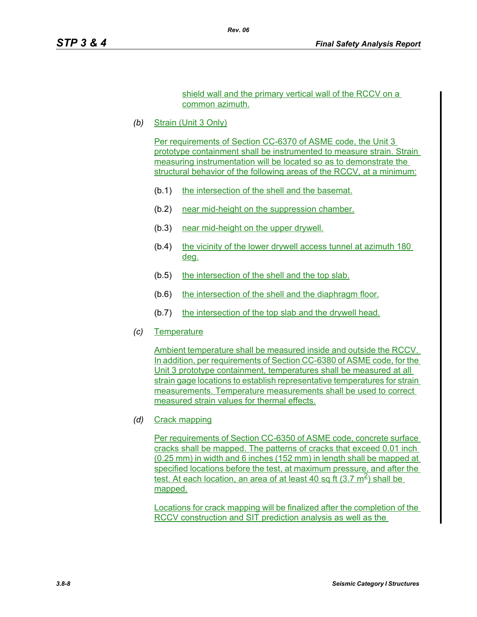shield wall and the primary vertical wall of the RCCV on a common azimuth.

*(b)* Strain (Unit 3 Only)

Per requirements of Section CC-6370 of ASME code, the Unit 3 prototype containment shall be instrumented to measure strain. Strain measuring instrumentation will be located so as to demonstrate the structural behavior of the following areas of the RCCV, at a minimum:

- (b.1) the intersection of the shell and the basemat.
- (b.2) near mid-height on the suppression chamber.
- (b.3) near mid-height on the upper drywell.
- (b.4) the vicinity of the lower drywell access tunnel at azimuth 180 deg.
- (b.5) the intersection of the shell and the top slab.
- (b.6) the intersection of the shell and the diaphragm floor.
- (b.7) the intersection of the top slab and the drywell head.
- *(c)* Temperature

Ambient temperature shall be measured inside and outside the RCCV. In addition, per requirements of Section CC-6380 of ASME code, for the Unit 3 prototype containment, temperatures shall be measured at all strain gage locations to establish representative temperatures for strain measurements. Temperature measurements shall be used to correct measured strain values for thermal effects.

*(d)* Crack mapping

Per requirements of Section CC-6350 of ASME code, concrete surface cracks shall be mapped. The patterns of cracks that exceed 0.01 inch (0.25 mm) in width and 6 inches (152 mm) in length shall be mapped at specified locations before the test, at maximum pressure, and after the test. At each location, an area of at least 40 sq ft  $(3.7 \text{ m}^2)$  shall be mapped.

Locations for crack mapping will be finalized after the completion of the RCCV construction and SIT prediction analysis as well as the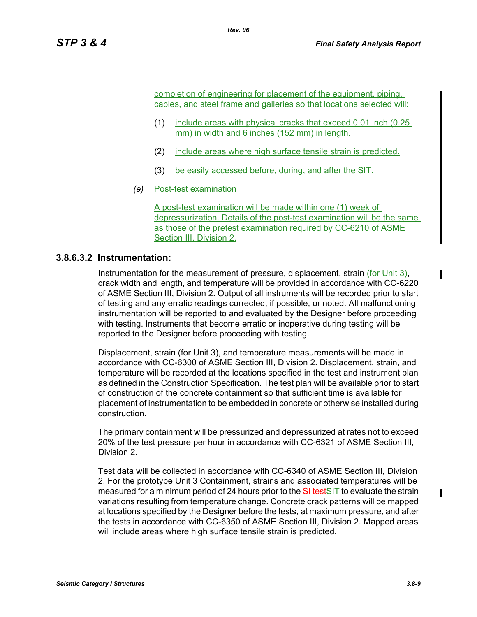completion of engineering for placement of the equipment, piping, cables, and steel frame and galleries so that locations selected will:

- (1) include areas with physical cracks that exceed 0.01 inch (0.25 mm) in width and 6 inches (152 mm) in length.
- (2) include areas where high surface tensile strain is predicted.
- (3) be easily accessed before, during, and after the SIT.
- *(e)* Post-test examination

A post-test examination will be made within one (1) week of depressurization. Details of the post-test examination will be the same as those of the pretest examination required by CC-6210 of ASME Section III, Division 2.

### **3.8.6.3.2 Instrumentation:**

Instrumentation for the measurement of pressure, displacement, strain (for Unit 3), crack width and length, and temperature will be provided in accordance with CC-6220 of ASME Section III, Division 2. Output of all instruments will be recorded prior to start of testing and any erratic readings corrected, if possible, or noted. All malfunctioning instrumentation will be reported to and evaluated by the Designer before proceeding with testing. Instruments that become erratic or inoperative during testing will be reported to the Designer before proceeding with testing.

Displacement, strain (for Unit 3), and temperature measurements will be made in accordance with CC-6300 of ASME Section III, Division 2. Displacement, strain, and temperature will be recorded at the locations specified in the test and instrument plan as defined in the Construction Specification. The test plan will be available prior to start of construction of the concrete containment so that sufficient time is available for placement of instrumentation to be embedded in concrete or otherwise installed during construction.

The primary containment will be pressurized and depressurized at rates not to exceed 20% of the test pressure per hour in accordance with CC-6321 of ASME Section III, Division 2.

Test data will be collected in accordance with CC-6340 of ASME Section III, Division 2. For the prototype Unit 3 Containment, strains and associated temperatures will be measured for a minimum period of 24 hours prior to the SHestSIT to evaluate the strain variations resulting from temperature change. Concrete crack patterns will be mapped at locations specified by the Designer before the tests, at maximum pressure, and after the tests in accordance with CC-6350 of ASME Section III, Division 2. Mapped areas will include areas where high surface tensile strain is predicted.

 $\blacksquare$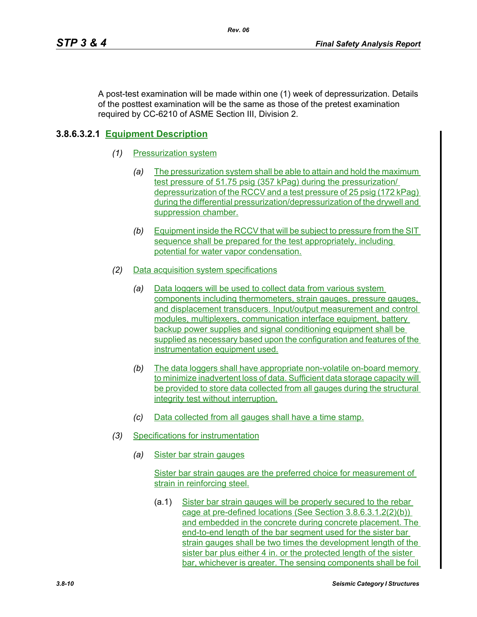A post-test examination will be made within one (1) week of depressurization. Details of the posttest examination will be the same as those of the pretest examination required by CC-6210 of ASME Section III, Division 2.

# **3.8.6.3.2.1 Equipment Description**

- *(1)* Pressurization system
	- *(a)* The pressurization system shall be able to attain and hold the maximum test pressure of 51.75 psig (357 kPag) during the pressurization/ depressurization of the RCCV and a test pressure of 25 psig (172 kPag) during the differential pressurization/depressurization of the drywell and suppression chamber.
	- *(b)* Equipment inside the RCCV that will be subject to pressure from the SIT sequence shall be prepared for the test appropriately, including potential for water vapor condensation.
- *(2)* Data acquisition system specifications
	- *(a)* Data loggers will be used to collect data from various system components including thermometers, strain gauges, pressure gauges, and displacement transducers. Input/output measurement and control modules, multiplexers, communication interface equipment, battery backup power supplies and signal conditioning equipment shall be supplied as necessary based upon the configuration and features of the instrumentation equipment used.
	- *(b)* The data loggers shall have appropriate non-volatile on-board memory to minimize inadvertent loss of data. Sufficient data storage capacity will be provided to store data collected from all gauges during the structural integrity test without interruption.
	- *(c)* Data collected from all gauges shall have a time stamp.
- *(3)* Specifications for instrumentation
	- *(a)* Sister bar strain gauges

Sister bar strain gauges are the preferred choice for measurement of strain in reinforcing steel.

(a.1) Sister bar strain gauges will be properly secured to the rebar cage at pre-defined locations (See Section 3.8.6.3.1.2(2)(b)) and embedded in the concrete during concrete placement. The end-to-end length of the bar segment used for the sister bar strain gauges shall be two times the development length of the sister bar plus either 4 in. or the protected length of the sister bar, whichever is greater. The sensing components shall be foil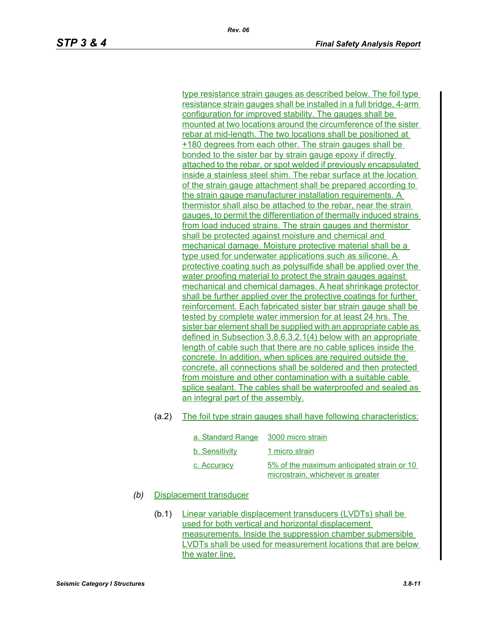type resistance strain gauges as described below. The foil type resistance strain gauges shall be installed in a full bridge, 4-arm configuration for improved stability. The gauges shall be mounted at two locations around the circumference of the sister rebar at mid-length. The two locations shall be positioned at +180 degrees from each other. The strain gauges shall be bonded to the sister bar by strain gauge epoxy if directly attached to the rebar, or spot welded if previously encapsulated inside a stainless steel shim. The rebar surface at the location of the strain gauge attachment shall be prepared according to the strain gauge manufacturer installation requirements. A thermistor shall also be attached to the rebar, near the strain gauges, to permit the differentiation of thermally induced strains from load induced strains. The strain gauges and thermistor shall be protected against moisture and chemical and mechanical damage. Moisture protective material shall be a type used for underwater applications such as silicone. A protective coating such as polysulfide shall be applied over the water proofing material to protect the strain gauges against mechanical and chemical damages. A heat shrinkage protector shall be further applied over the protective coatings for further reinforcement. Each fabricated sister bar strain gauge shall be tested by complete water immersion for at least 24 hrs. The sister bar element shall be supplied with an appropriate cable as defined in Subsection 3.8.6.3.2.1(4) below with an appropriate length of cable such that there are no cable splices inside the concrete. In addition, when splices are required outside the concrete, all connections shall be soldered and then protected from moisture and other contamination with a suitable cable splice sealant. The cables shall be waterproofed and sealed as an integral part of the assembly.

#### (a.2) The foil type strain gauges shall have following characteristics:

| a. Standard Range 3000 micro strain |                                                                                 |
|-------------------------------------|---------------------------------------------------------------------------------|
| b. Sensitivity                      | 1 micro strain                                                                  |
| c. Accuracy                         | 5% of the maximum anticipated strain or 10<br>microstrain, whichever is greater |

### *(b)* Displacement transducer

(b.1) Linear variable displacement transducers (LVDTs) shall be used for both vertical and horizontal displacement measurements. Inside the suppression chamber submersible LVDTs shall be used for measurement locations that are below the water line.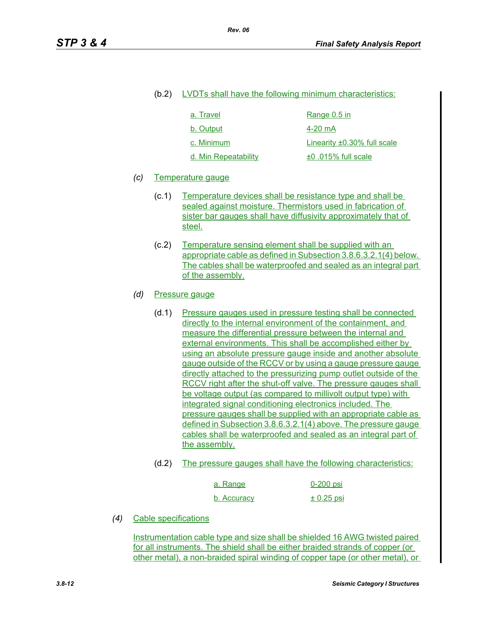#### (b.2) LVDTs shall have the following minimum characteristics:

| a. Travel            | Range 0.5 in                      |
|----------------------|-----------------------------------|
| b. Output            | 4-20 mA                           |
| c. Minimum           | Linearity $\pm 0.30\%$ full scale |
| d. Min Repeatability | ±0.015% full scale                |

### *(c)* Temperature gauge

- (c.1) Temperature devices shall be resistance type and shall be sealed against moisture. Thermistors used in fabrication of sister bar gauges shall have diffusivity approximately that of steel.
- (c.2) Temperature sensing element shall be supplied with an appropriate cable as defined in Subsection 3.8.6.3.2.1(4) below. The cables shall be waterproofed and sealed as an integral part of the assembly.

### *(d)* Pressure gauge

- (d.1) Pressure gauges used in pressure testing shall be connected directly to the internal environment of the containment, and measure the differential pressure between the internal and external environments. This shall be accomplished either by using an absolute pressure gauge inside and another absolute gauge outside of the RCCV or by using a gauge pressure gauge directly attached to the pressurizing pump outlet outside of the RCCV right after the shut-off valve. The pressure gauges shall be voltage output (as compared to millivolt output type) with integrated signal conditioning electronics included. The pressure gauges shall be supplied with an appropriate cable as defined in Subsection 3.8.6.3.2.1(4) above. The pressure gauge cables shall be waterproofed and sealed as an integral part of the assembly.
- (d.2) The pressure gauges shall have the following characteristics:

| a. Range    | $0-200$ psi    |
|-------------|----------------|
| b. Accuracy | $\pm$ 0.25 psi |

*(4)* Cable specifications

Instrumentation cable type and size shall be shielded 16 AWG twisted paired for all instruments. The shield shall be either braided strands of copper (or other metal), a non-braided spiral winding of copper tape (or other metal), or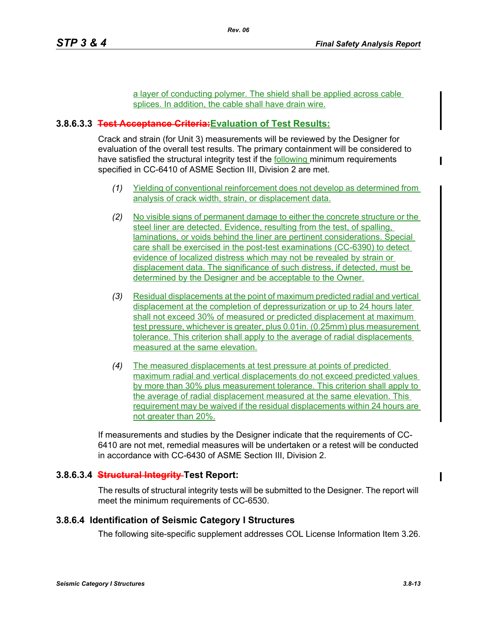a layer of conducting polymer. The shield shall be applied across cable splices. In addition, the cable shall have drain wire.

## **3.8.6.3.3 Test Acceptance Criteria:Evaluation of Test Results:**

Crack and strain (for Unit 3) measurements will be reviewed by the Designer for evaluation of the overall test results. The primary containment will be considered to have satisfied the structural integrity test if the following minimum requirements specified in CC-6410 of ASME Section III, Division 2 are met.

- *(1)* Yielding of conventional reinforcement does not develop as determined from analysis of crack width, strain, or displacement data.
- *(2)* No visible signs of permanent damage to either the concrete structure or the steel liner are detected. Evidence, resulting from the test, of spalling, laminations, or voids behind the liner are pertinent considerations. Special care shall be exercised in the post-test examinations (CC-6390) to detect evidence of localized distress which may not be revealed by strain or displacement data. The significance of such distress, if detected, must be determined by the Designer and be acceptable to the Owner.
- *(3)* Residual displacements at the point of maximum predicted radial and vertical displacement at the completion of depressurization or up to 24 hours later shall not exceed 30% of measured or predicted displacement at maximum test pressure, whichever is greater, plus 0.01in. (0.25mm) plus measurement tolerance. This criterion shall apply to the average of radial displacements measured at the same elevation.
- *(4)* The measured displacements at test pressure at points of predicted maximum radial and vertical displacements do not exceed predicted values by more than 30% plus measurement tolerance. This criterion shall apply to the average of radial displacement measured at the same elevation. This requirement may be waived if the residual displacements within 24 hours are not greater than 20%.

If measurements and studies by the Designer indicate that the requirements of CC-6410 are not met, remedial measures will be undertaken or a retest will be conducted in accordance with CC-6430 of ASME Section III, Division 2.

### **3.8.6.3.4 Structural Integrity Test Report:**

The results of structural integrity tests will be submitted to the Designer. The report will meet the minimum requirements of CC-6530.

### **3.8.6.4 Identification of Seismic Category I Structures**

The following site-specific supplement addresses COL License Information Item 3.26.